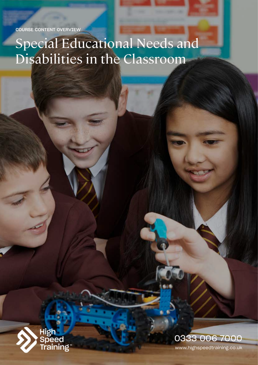COURSE CONTENT OVERVIEW

# Special Educational Needs and Disabilities in the Classroom



www.highspeedtraining.co.uk 0333 006 7000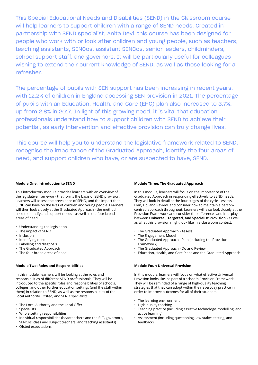This Special Educational Needs and Disabilities (SEND) in the Classroom course will help learners to support children with a range of SEND needs. Created in partnership with SEND specialist, Anita Devi, this course has been designed for people who work with or look after children and young people, such as teachers, teaching assistants, SENCos, assistant SENCos, senior leaders, childminders, school support staff, and governors. It will be particularly useful for colleagues wishing to extend their current knowledge of SEND, as well as those looking for a refresher.

The percentage of pupils with SEN support has been increasing in recent years, with 12.2% of children in England accessing SEN provision in 2021. The percentage of pupils with an Education, Health, and Care (EHC) plan also increased to 3.7%, up from 2.8% in 2017. In light of this growing need, it is vital that education professionals understand how to support children with SEND to achieve their potential, as early intervention and effective provision can truly change lives.

This course will help you to understand the legislative framework related to SEND, recognise the importance of the Graduated Approach, identify the four areas of need, and support children who have, or are suspected to have, SEND.

# **Module One: Introduction to SEND**

This introductory module provides learners with an overview of the legislative framework that forms the basis of SEND provision. Learners will assess the prevalence of SEND, and the impact that SEND can have on the lives of children and young people. Learners will then look closely at the Graduated Approach - the method used to identify and support needs - as well as the four broad areas of need.

- Understanding the legislation
- The impact of SEND
- Inclusion
- Identifying need
- Labelling and diagnosis
- The Graduated Approach
- The four broad areas of need

#### **Module Two: Roles and Responsibilities**

In this module, learners will be looking at the roles and responsibilities of different SEND professionals. They will be introduced to the specific roles and responsibilities of schools, colleges, and other further education settings (and the staff within them) in relation to SEND, as well as the responsibilities of the Local Authority, Ofsted, and SEND specialists.

- The Local Authority and the Local Offer
- **Specialists**
- Whole setting responsibilities
- Individual responsibilities (headteachers and the SLT, governors, SENCos, class and subject teachers, and teaching assistants)
- Ofsted expectations

#### **Module Three: The Graduated Approach**

In this module, learners will focus on the importance of the Graduated Approach in responding effectively to SEND needs. They will look in detail at the four stages of the cycle - Assess, Plan, Do, and Review, and consider how to maintain a personcentred approach throughout. Learners will also look closely at the Provision Framework and consider the differences and interplay between **Universal, Targeted, and Specialist Provision** - as well as what this provision might look like in a classroom context.

- The Graduated Approach Assess
- The Engagement Model
- The Graduated Approach Plan (including the Provision Framework)
- The Graduated Approach Do and Review
- Education, Health, and Care Plans and the Graduated Approach

# **Module Four: Universal Provision**

In this module, learners will focus on what effective Universal Provision looks like, as part of a school's Provision Framework. They will be reminded of a range of high-quality teaching strategies that they can adopt within their everyday practice in order to improve outcomes for all of their students.

- The learning environment
- High-quality teaching
- Teaching practice (including assistive technology, modelling, and active learning)
- Assessment (including questioning, low-stakes testing, and feedback)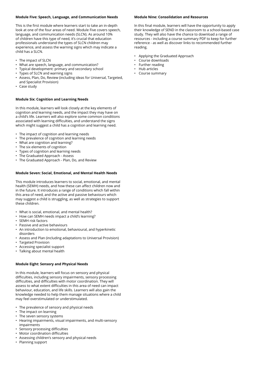# **Module Five: Speech, Language, and Communication Needs**

This is the first module where learners start to take an in-depth look at one of the four areas of need. Module Five covers speech, language, and communication needs (SLCN). As around 10% of children have this type of need, it's crucial that education professionals understand the types of SLCN children may experience, and assess the warning signs which may indicate a child has a SLCN.

- The impact of SLCN
- What are speech, language, and communication?
- Typical development: primary and secondary school
- Types of SLCN and warning signs
- Assess, Plan, Do, Review (including ideas for Universal, Targeted, and Specialist Provision)
- Case study

#### **Module Six: Cognition and Learning Needs**

In this module, learners will look closely at the key elements of cognition and learning needs, and the impact they may have on a child's life. Learners will also explore some common conditions associated with learning difficulties, and understand the signs which might suggest a child has a cognition and learning need.

- The impact of cognition and learning needs
- The prevalence of cognition and learning needs
- What are cognition and learning?
- The six elements of cognition
- Types of cognition and learning needs
- The Graduated Approach Assess
- The Graduated Approach Plan, Do, and Review

# **Module Seven: Social, Emotional, and Mental Health Needs**

This module introduces learners to social, emotional, and mental health (SEMH) needs, and how these can affect children now and in the future. It introduces a range of conditions which fall within this area of need, and the active and passive behaviours which may suggest a child is struggling, as well as strategies to support these children.

- What is social, emotional, and mental health?
- How can SEMH needs impact a child's learning?
- SEMH risk factors
- Passive and active behaviours
- An introduction to emotional, behavioural, and hyperkinetic disorders
- Assess and Plan (including adaptations to Universal Provision)
- Targeted Provision
- Accessing specialist support
- Talking about mental health

# **Module Eight: Sensory and Physical Needs**

In this module, learners will focus on sensory and physical difficulties, including sensory impairments, sensory processing difficulties, and difficulties with motor coordination. They will assess to what extent difficulties in this area of need can impact behaviour, education, and life skills. Learners will also gain the knowledge needed to help them manage situations where a child may feel overstimulated or understimulated.

- The prevalence of sensory and physical needs
- The impact on learning
- The seven sensory systems
- Hearing impairments, visual impairments, and multi-sensory impairments
- Sensory processing difficulties
- Motor coordination difficulties
- Assessing children's sensory and physical needs
- Planning support

# **Module Nine: Consolidation and Resources**

In this final module, learners will have the opportunity to apply their knowledge of SEND in the classroom to a school-based case study. They will also have the chance to download a range of resources - including a course summary PDF to keep for further reference - as well as discover links to recommended further reading.

- Applying the Graduated Approach
- Course downloads
- Further reading
- Hub articles
- Course summary